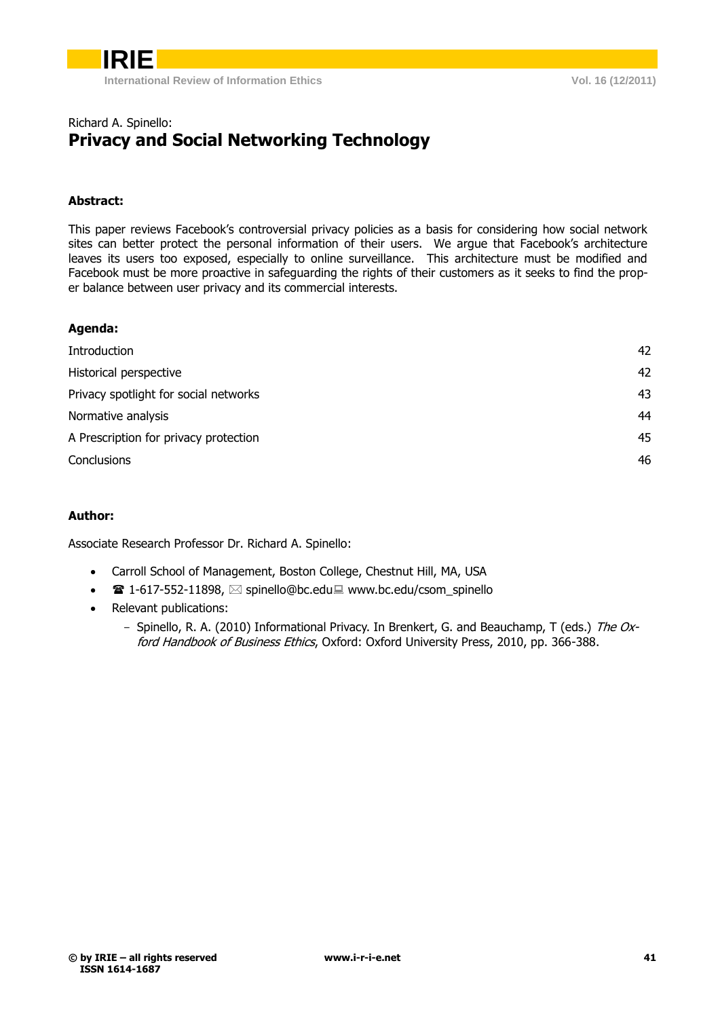

#### Richard A. Spinello: **Privacy and Social Networking Technology**

#### **Abstract:**

This paper reviews Facebook's controversial privacy policies as a basis for considering how social network sites can better protect the personal information of their users. We argue that Facebook's architecture leaves its users too exposed, especially to online surveillance. This architecture must be modified and Facebook must be more proactive in safeguarding the rights of their customers as it seeks to find the proper balance between user privacy and its commercial interests.

#### **Agenda:**

| Introduction                          | 42 |
|---------------------------------------|----|
| Historical perspective                | 42 |
| Privacy spotlight for social networks | 43 |
| Normative analysis                    | 44 |
| A Prescription for privacy protection | 45 |
| Conclusions                           | 46 |
|                                       |    |

#### **Author:**

Associate Research Professor Dr. Richard A. Spinello:

- Carroll School of Management, Boston College, Chestnut Hill, MA, USA
- $\bullet$  1-617-552-11898,  $\boxtimes$  spinello@bc.edu www.bc.edu/csom\_spinello
- Relevant publications:
	- Spinello, R. A. (2010) Informational Privacy. In Brenkert, G. and Beauchamp, T (eds.) The Oxford Handbook of Business Ethics, Oxford: Oxford University Press, 2010, pp. 366-388.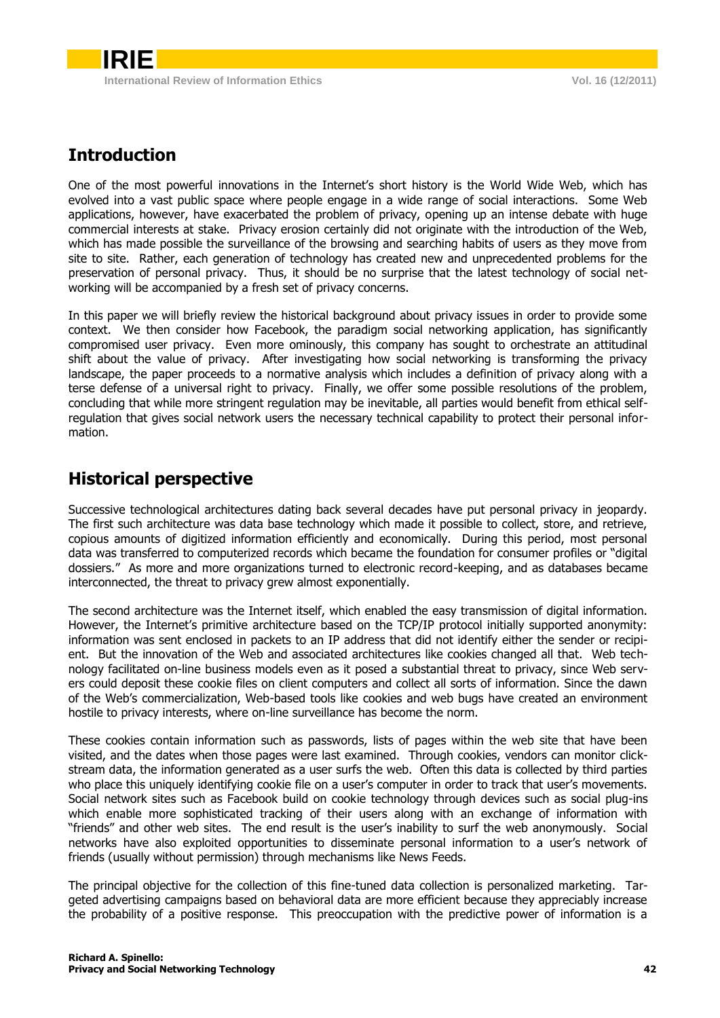## <span id="page-1-0"></span>**Introduction**

One of the most powerful innovations in the Internet's short history is the World Wide Web, which has evolved into a vast public space where people engage in a wide range of social interactions. Some Web applications, however, have exacerbated the problem of privacy, opening up an intense debate with huge commercial interests at stake. Privacy erosion certainly did not originate with the introduction of the Web, which has made possible the surveillance of the browsing and searching habits of users as they move from site to site. Rather, each generation of technology has created new and unprecedented problems for the preservation of personal privacy. Thus, it should be no surprise that the latest technology of social networking will be accompanied by a fresh set of privacy concerns.

In this paper we will briefly review the historical background about privacy issues in order to provide some context. We then consider how Facebook, the paradigm social networking application, has significantly compromised user privacy. Even more ominously, this company has sought to orchestrate an attitudinal shift about the value of privacy. After investigating how social networking is transforming the privacy landscape, the paper proceeds to a normative analysis which includes a definition of privacy along with a terse defense of a universal right to privacy. Finally, we offer some possible resolutions of the problem, concluding that while more stringent regulation may be inevitable, all parties would benefit from ethical selfregulation that gives social network users the necessary technical capability to protect their personal information.

### <span id="page-1-1"></span>**Historical perspective**

Successive technological architectures dating back several decades have put personal privacy in jeopardy. The first such architecture was data base technology which made it possible to collect, store, and retrieve, copious amounts of digitized information efficiently and economically. During this period, most personal data was transferred to computerized records which became the foundation for consumer profiles or "digital dossiers." As more and more organizations turned to electronic record-keeping, and as databases became interconnected, the threat to privacy grew almost exponentially.

The second architecture was the Internet itself, which enabled the easy transmission of digital information. However, the Internet's primitive architecture based on the TCP/IP protocol initially supported anonymity: information was sent enclosed in packets to an IP address that did not identify either the sender or recipient. But the innovation of the Web and associated architectures like cookies changed all that. Web technology facilitated on-line business models even as it posed a substantial threat to privacy, since Web servers could deposit these cookie files on client computers and collect all sorts of information. Since the dawn of the Web's commercialization, Web-based tools like cookies and web bugs have created an environment hostile to privacy interests, where on-line surveillance has become the norm.

These cookies contain information such as passwords, lists of pages within the web site that have been visited, and the dates when those pages were last examined. Through cookies, vendors can monitor clickstream data, the information generated as a user surfs the web. Often this data is collected by third parties who place this uniquely identifying cookie file on a user's computer in order to track that user's movements. Social network sites such as Facebook build on cookie technology through devices such as social plug-ins which enable more sophisticated tracking of their users along with an exchange of information with "friends" and other web sites. The end result is the user's inability to surf the web anonymously. Social networks have also exploited opportunities to disseminate personal information to a user's network of friends (usually without permission) through mechanisms like News Feeds.

The principal objective for the collection of this fine-tuned data collection is personalized marketing. Targeted advertising campaigns based on behavioral data are more efficient because they appreciably increase the probability of a positive response. This preoccupation with the predictive power of information is a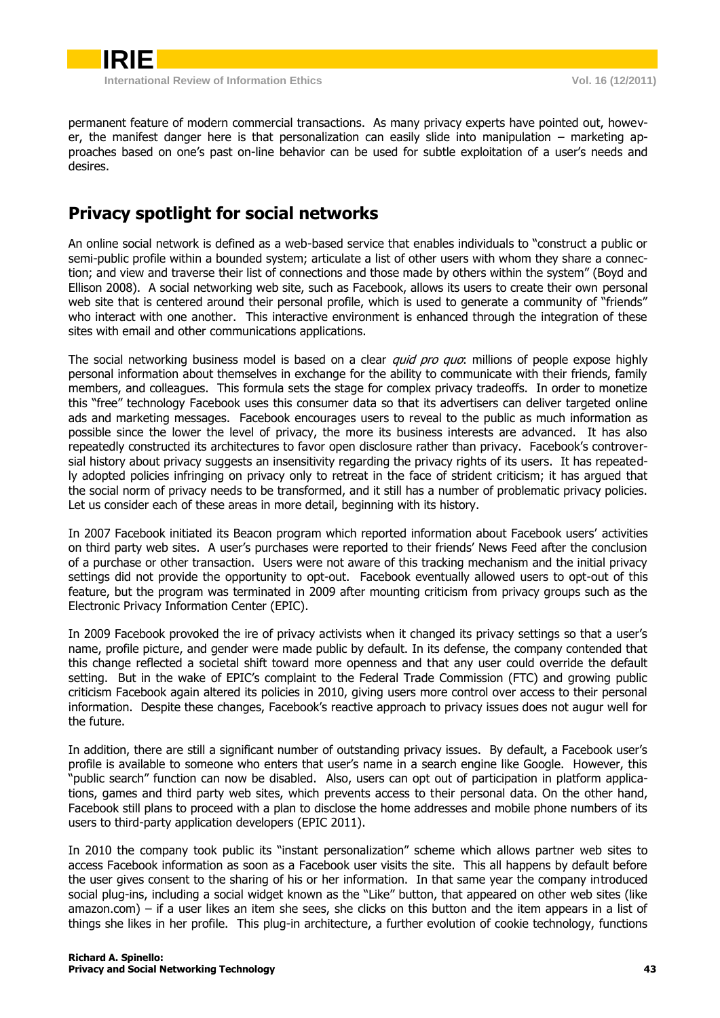

permanent feature of modern commercial transactions. As many privacy experts have pointed out, however, the manifest danger here is that personalization can easily slide into manipulation – marketing approaches based on one's past on-line behavior can be used for subtle exploitation of a user's needs and desires.

### <span id="page-2-0"></span>**Privacy spotlight for social networks**

An online social network is defined as a web-based service that enables individuals to "construct a public or semi-public profile within a bounded system; articulate a list of other users with whom they share a connection; and view and traverse their list of connections and those made by others within the system" (Boyd and Ellison 2008). A social networking web site, such as Facebook, allows its users to create their own personal web site that is centered around their personal profile, which is used to generate a community of "friends" who interact with one another. This interactive environment is enhanced through the integration of these sites with email and other communications applications.

The social networking business model is based on a clear *quid pro quo*: millions of people expose highly personal information about themselves in exchange for the ability to communicate with their friends, family members, and colleagues. This formula sets the stage for complex privacy tradeoffs. In order to monetize this "free" technology Facebook uses this consumer data so that its advertisers can deliver targeted online ads and marketing messages. Facebook encourages users to reveal to the public as much information as possible since the lower the level of privacy, the more its business interests are advanced. It has also repeatedly constructed its architectures to favor open disclosure rather than privacy. Facebook's controversial history about privacy suggests an insensitivity regarding the privacy rights of its users. It has repeatedly adopted policies infringing on privacy only to retreat in the face of strident criticism; it has argued that the social norm of privacy needs to be transformed, and it still has a number of problematic privacy policies. Let us consider each of these areas in more detail, beginning with its history.

In 2007 Facebook initiated its Beacon program which reported information about Facebook users' activities on third party web sites. A user's purchases were reported to their friends' News Feed after the conclusion of a purchase or other transaction. Users were not aware of this tracking mechanism and the initial privacy settings did not provide the opportunity to opt-out. Facebook eventually allowed users to opt-out of this feature, but the program was terminated in 2009 after mounting criticism from privacy groups such as the Electronic Privacy Information Center (EPIC).

In 2009 Facebook provoked the ire of privacy activists when it changed its privacy settings so that a user's name, profile picture, and gender were made public by default. In its defense, the company contended that this change reflected a societal shift toward more openness and that any user could override the default setting. But in the wake of EPIC's complaint to the Federal Trade Commission (FTC) and growing public criticism Facebook again altered its policies in 2010, giving users more control over access to their personal information. Despite these changes, Facebook's reactive approach to privacy issues does not augur well for the future.

In addition, there are still a significant number of outstanding privacy issues. By default, a Facebook user's profile is available to someone who enters that user's name in a search engine like Google. However, this "public search" function can now be disabled. Also, users can opt out of participation in platform applications, games and third party web sites, which prevents access to their personal data. On the other hand, Facebook still plans to proceed with a plan to disclose the home addresses and mobile phone numbers of its users to third-party application developers (EPIC 2011).

In 2010 the company took public its "instant personalization" scheme which allows partner web sites to access Facebook information as soon as a Facebook user visits the site. This all happens by default before the user gives consent to the sharing of his or her information. In that same year the company introduced social plug-ins, including a social widget known as the "Like" button, that appeared on other web sites (like amazon.com) – if a user likes an item she sees, she clicks on this button and the item appears in a list of things she likes in her profile. This plug-in architecture, a further evolution of cookie technology, functions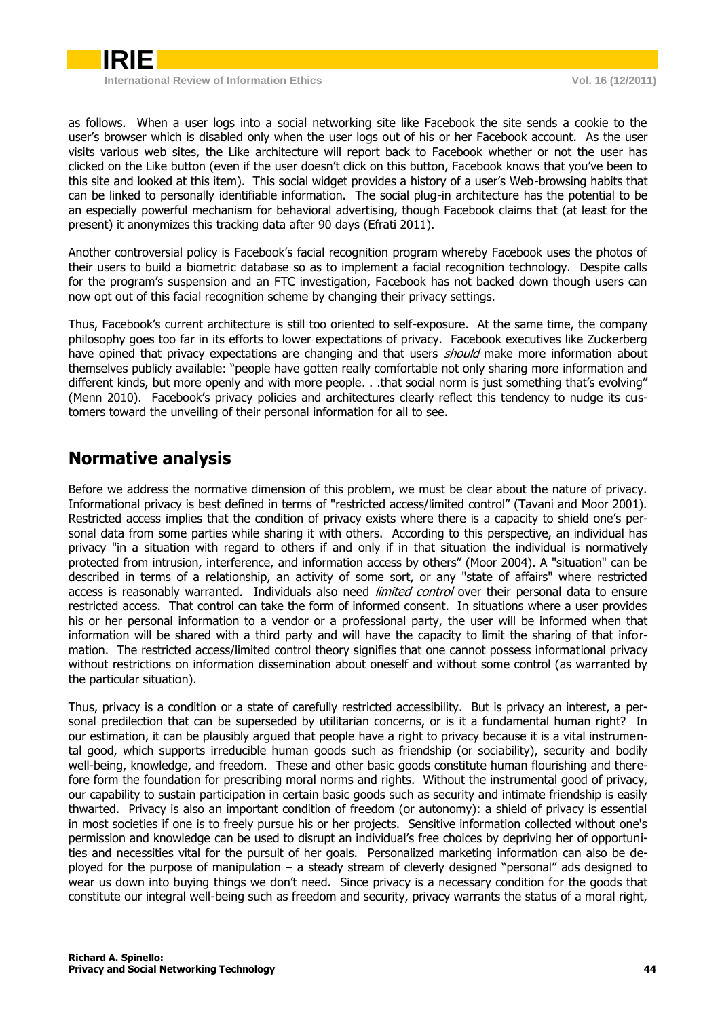

**International Review of Information Ethics Vol. 16 (12/2011)**

as follows. When a user logs into a social networking site like Facebook the site sends a cookie to the user's browser which is disabled only when the user logs out of his or her Facebook account. As the user visits various web sites, the Like architecture will report back to Facebook whether or not the user has clicked on the Like button (even if the user doesn't click on this button, Facebook knows that you've been to this site and looked at this item). This social widget provides a history of a user's Web-browsing habits that can be linked to personally identifiable information. The social plug-in architecture has the potential to be an especially powerful mechanism for behavioral advertising, though Facebook claims that (at least for the present) it anonymizes this tracking data after 90 days (Efrati 2011).

Another controversial policy is Facebook's facial recognition program whereby Facebook uses the photos of their users to build a biometric database so as to implement a facial recognition technology. Despite calls for the program's suspension and an FTC investigation, Facebook has not backed down though users can now opt out of this facial recognition scheme by changing their privacy settings.

Thus, Facebook's current architecture is still too oriented to self-exposure. At the same time, the company philosophy goes too far in its efforts to lower expectations of privacy. Facebook executives like Zuckerberg have opined that privacy expectations are changing and that users *should* make more information about themselves publicly available: "people have gotten really comfortable not only sharing more information and different kinds, but more openly and with more people. . .that social norm is just something that's evolving" (Menn 2010). Facebook's privacy policies and architectures clearly reflect this tendency to nudge its customers toward the unveiling of their personal information for all to see.

### <span id="page-3-0"></span>**Normative analysis**

Before we address the normative dimension of this problem, we must be clear about the nature of privacy. Informational privacy is best defined in terms of "restricted access/limited control" (Tavani and Moor 2001). Restricted access implies that the condition of privacy exists where there is a capacity to shield one's personal data from some parties while sharing it with others. According to this perspective, an individual has privacy "in a situation with regard to others if and only if in that situation the individual is normatively protected from intrusion, interference, and information access by others" (Moor 2004). A "situation" can be described in terms of a relationship, an activity of some sort, or any "state of affairs" where restricted access is reasonably warranted. Individuals also need *limited control* over their personal data to ensure restricted access. That control can take the form of informed consent. In situations where a user provides his or her personal information to a vendor or a professional party, the user will be informed when that information will be shared with a third party and will have the capacity to limit the sharing of that information. The restricted access/limited control theory signifies that one cannot possess informational privacy without restrictions on information dissemination about oneself and without some control (as warranted by the particular situation).

Thus, privacy is a condition or a state of carefully restricted accessibility. But is privacy an interest, a personal predilection that can be superseded by utilitarian concerns, or is it a fundamental human right? In our estimation, it can be plausibly argued that people have a right to privacy because it is a vital instrumental good, which supports irreducible human goods such as friendship (or sociability), security and bodily well-being, knowledge, and freedom. These and other basic goods constitute human flourishing and therefore form the foundation for prescribing moral norms and rights. Without the instrumental good of privacy, our capability to sustain participation in certain basic goods such as security and intimate friendship is easily thwarted. Privacy is also an important condition of freedom (or autonomy): a shield of privacy is essential in most societies if one is to freely pursue his or her projects. Sensitive information collected without one's permission and knowledge can be used to disrupt an individual's free choices by depriving her of opportunities and necessities vital for the pursuit of her goals. Personalized marketing information can also be deployed for the purpose of manipulation – a steady stream of cleverly designed "personal" ads designed to wear us down into buying things we don't need. Since privacy is a necessary condition for the goods that constitute our integral well-being such as freedom and security, privacy warrants the status of a moral right,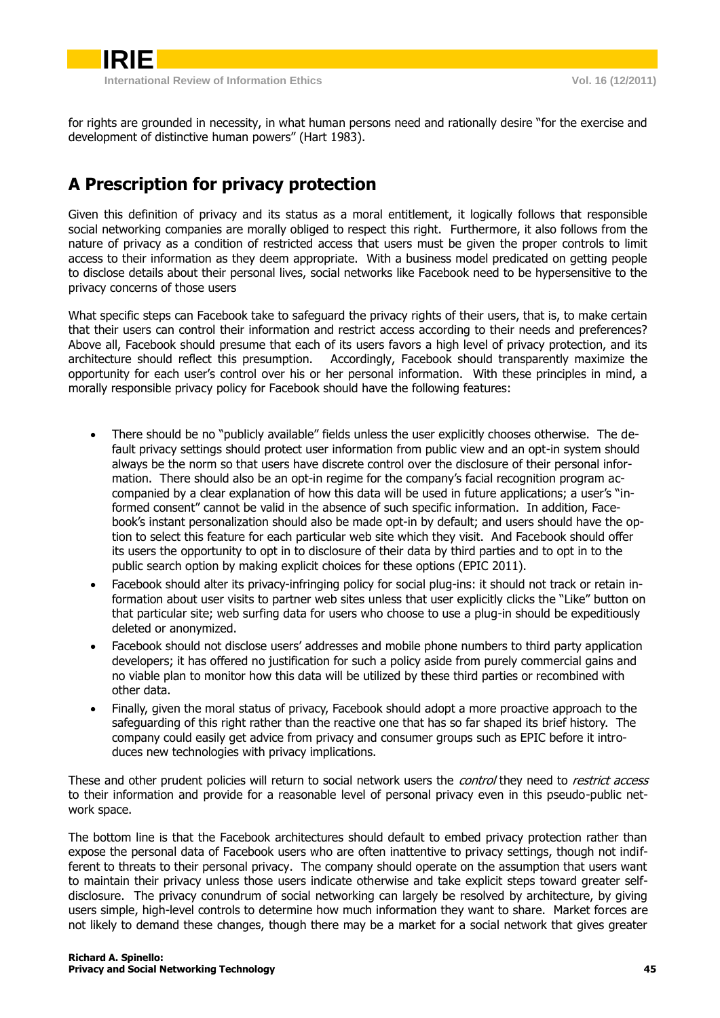for rights are grounded in necessity, in what human persons need and rationally desire "for the exercise and development of distinctive human powers" (Hart 1983).

# <span id="page-4-0"></span>**A Prescription for privacy protection**

Given this definition of privacy and its status as a moral entitlement, it logically follows that responsible social networking companies are morally obliged to respect this right. Furthermore, it also follows from the nature of privacy as a condition of restricted access that users must be given the proper controls to limit access to their information as they deem appropriate. With a business model predicated on getting people to disclose details about their personal lives, social networks like Facebook need to be hypersensitive to the privacy concerns of those users

What specific steps can Facebook take to safeguard the privacy rights of their users, that is, to make certain that their users can control their information and restrict access according to their needs and preferences? Above all, Facebook should presume that each of its users favors a high level of privacy protection, and its architecture should reflect this presumption. Accordingly, Facebook should transparently maximize the opportunity for each user's control over his or her personal information. With these principles in mind, a morally responsible privacy policy for Facebook should have the following features:

- There should be no "publicly available" fields unless the user explicitly chooses otherwise. The default privacy settings should protect user information from public view and an opt-in system should always be the norm so that users have discrete control over the disclosure of their personal information. There should also be an opt-in regime for the company's facial recognition program accompanied by a clear explanation of how this data will be used in future applications; a user's "informed consent" cannot be valid in the absence of such specific information. In addition, Facebook's instant personalization should also be made opt-in by default; and users should have the option to select this feature for each particular web site which they visit. And Facebook should offer its users the opportunity to opt in to disclosure of their data by third parties and to opt in to the public search option by making explicit choices for these options (EPIC 2011).
- Facebook should alter its privacy-infringing policy for social plug-ins: it should not track or retain information about user visits to partner web sites unless that user explicitly clicks the "Like" button on that particular site; web surfing data for users who choose to use a plug-in should be expeditiously deleted or anonymized.
- Facebook should not disclose users' addresses and mobile phone numbers to third party application developers; it has offered no justification for such a policy aside from purely commercial gains and no viable plan to monitor how this data will be utilized by these third parties or recombined with other data.
- Finally, given the moral status of privacy, Facebook should adopt a more proactive approach to the safeguarding of this right rather than the reactive one that has so far shaped its brief history. The company could easily get advice from privacy and consumer groups such as EPIC before it introduces new technologies with privacy implications.

These and other prudent policies will return to social network users the *control* they need to *restrict access* to their information and provide for a reasonable level of personal privacy even in this pseudo-public network space.

The bottom line is that the Facebook architectures should default to embed privacy protection rather than expose the personal data of Facebook users who are often inattentive to privacy settings, though not indifferent to threats to their personal privacy. The company should operate on the assumption that users want to maintain their privacy unless those users indicate otherwise and take explicit steps toward greater selfdisclosure. The privacy conundrum of social networking can largely be resolved by architecture, by giving users simple, high-level controls to determine how much information they want to share. Market forces are not likely to demand these changes, though there may be a market for a social network that gives greater